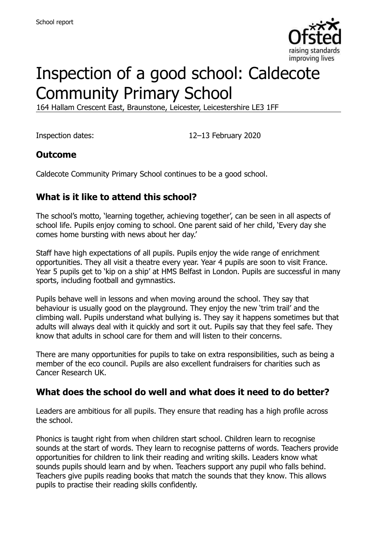

# Inspection of a good school: Caldecote Community Primary School

164 Hallam Crescent East, Braunstone, Leicester, Leicestershire LE3 1FF

Inspection dates: 12–13 February 2020

### **Outcome**

Caldecote Community Primary School continues to be a good school.

# **What is it like to attend this school?**

The school's motto, 'learning together, achieving together', can be seen in all aspects of school life. Pupils enjoy coming to school. One parent said of her child, 'Every day she comes home bursting with news about her day.'

Staff have high expectations of all pupils. Pupils enjoy the wide range of enrichment opportunities. They all visit a theatre every year. Year 4 pupils are soon to visit France. Year 5 pupils get to 'kip on a ship' at HMS Belfast in London. Pupils are successful in many sports, including football and gymnastics.

Pupils behave well in lessons and when moving around the school. They say that behaviour is usually good on the playground. They enjoy the new 'trim trail' and the climbing wall. Pupils understand what bullying is. They say it happens sometimes but that adults will always deal with it quickly and sort it out. Pupils say that they feel safe. They know that adults in school care for them and will listen to their concerns.

There are many opportunities for pupils to take on extra responsibilities, such as being a member of the eco council. Pupils are also excellent fundraisers for charities such as Cancer Research UK.

#### **What does the school do well and what does it need to do better?**

Leaders are ambitious for all pupils. They ensure that reading has a high profile across the school.

Phonics is taught right from when children start school. Children learn to recognise sounds at the start of words. They learn to recognise patterns of words. Teachers provide opportunities for children to link their reading and writing skills. Leaders know what sounds pupils should learn and by when. Teachers support any pupil who falls behind. Teachers give pupils reading books that match the sounds that they know. This allows pupils to practise their reading skills confidently.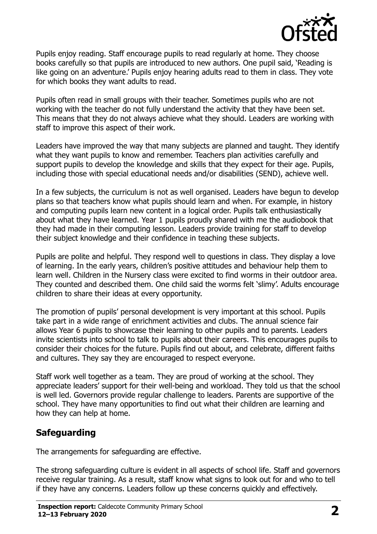

Pupils enjoy reading. Staff encourage pupils to read regularly at home. They choose books carefully so that pupils are introduced to new authors. One pupil said, 'Reading is like going on an adventure.' Pupils enjoy hearing adults read to them in class. They vote for which books they want adults to read.

Pupils often read in small groups with their teacher. Sometimes pupils who are not working with the teacher do not fully understand the activity that they have been set. This means that they do not always achieve what they should. Leaders are working with staff to improve this aspect of their work.

Leaders have improved the way that many subjects are planned and taught. They identify what they want pupils to know and remember. Teachers plan activities carefully and support pupils to develop the knowledge and skills that they expect for their age. Pupils, including those with special educational needs and/or disabilities (SEND), achieve well.

In a few subjects, the curriculum is not as well organised. Leaders have begun to develop plans so that teachers know what pupils should learn and when. For example, in history and computing pupils learn new content in a logical order. Pupils talk enthusiastically about what they have learned. Year 1 pupils proudly shared with me the audiobook that they had made in their computing lesson. Leaders provide training for staff to develop their subject knowledge and their confidence in teaching these subjects.

Pupils are polite and helpful. They respond well to questions in class. They display a love of learning. In the early years, children's positive attitudes and behaviour help them to learn well. Children in the Nursery class were excited to find worms in their outdoor area. They counted and described them. One child said the worms felt 'slimy'. Adults encourage children to share their ideas at every opportunity.

The promotion of pupils' personal development is very important at this school. Pupils take part in a wide range of enrichment activities and clubs. The annual science fair allows Year 6 pupils to showcase their learning to other pupils and to parents. Leaders invite scientists into school to talk to pupils about their careers. This encourages pupils to consider their choices for the future. Pupils find out about, and celebrate, different faiths and cultures. They say they are encouraged to respect everyone.

Staff work well together as a team. They are proud of working at the school. They appreciate leaders' support for their well-being and workload. They told us that the school is well led. Governors provide regular challenge to leaders. Parents are supportive of the school. They have many opportunities to find out what their children are learning and how they can help at home.

# **Safeguarding**

The arrangements for safeguarding are effective.

The strong safeguarding culture is evident in all aspects of school life. Staff and governors receive regular training. As a result, staff know what signs to look out for and who to tell if they have any concerns. Leaders follow up these concerns quickly and effectively.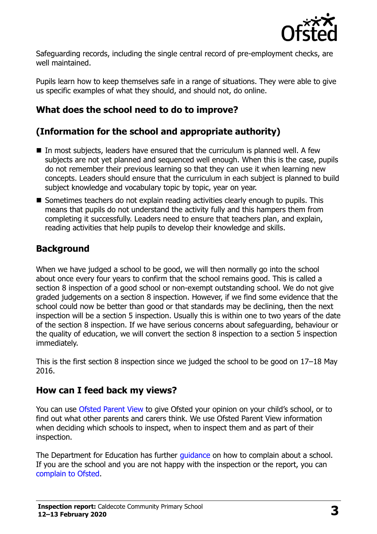

Safeguarding records, including the single central record of pre-employment checks, are well maintained.

Pupils learn how to keep themselves safe in a range of situations. They were able to give us specific examples of what they should, and should not, do online.

# **What does the school need to do to improve?**

# **(Information for the school and appropriate authority)**

- $\blacksquare$  In most subjects, leaders have ensured that the curriculum is planned well. A few subjects are not yet planned and sequenced well enough. When this is the case, pupils do not remember their previous learning so that they can use it when learning new concepts. Leaders should ensure that the curriculum in each subject is planned to build subject knowledge and vocabulary topic by topic, year on year.
- Sometimes teachers do not explain reading activities clearly enough to pupils. This means that pupils do not understand the activity fully and this hampers them from completing it successfully. Leaders need to ensure that teachers plan, and explain, reading activities that help pupils to develop their knowledge and skills.

### **Background**

When we have judged a school to be good, we will then normally go into the school about once every four years to confirm that the school remains good. This is called a section 8 inspection of a good school or non-exempt outstanding school. We do not give graded judgements on a section 8 inspection. However, if we find some evidence that the school could now be better than good or that standards may be declining, then the next inspection will be a section 5 inspection. Usually this is within one to two years of the date of the section 8 inspection. If we have serious concerns about safeguarding, behaviour or the quality of education, we will convert the section 8 inspection to a section 5 inspection immediately.

This is the first section 8 inspection since we judged the school to be good on 17–18 May 2016.

#### **How can I feed back my views?**

You can use [Ofsted Parent View](https://parentview.ofsted.gov.uk/) to give Ofsted your opinion on your child's school, or to find out what other parents and carers think. We use Ofsted Parent View information when deciding which schools to inspect, when to inspect them and as part of their inspection.

The Department for Education has further quidance on how to complain about a school. If you are the school and you are not happy with the inspection or the report, you can [complain to Ofsted.](https://www.gov.uk/complain-ofsted-report)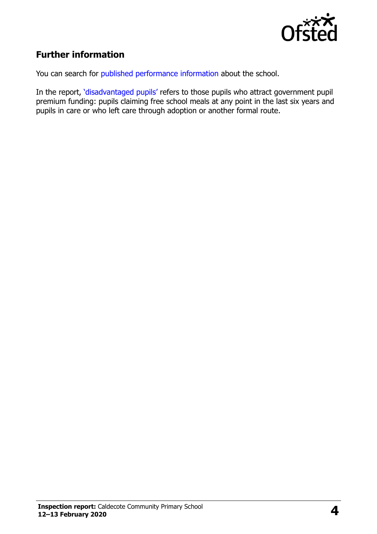

# **Further information**

You can search for [published performance information](http://www.compare-school-performance.service.gov.uk/) about the school.

In the report, '[disadvantaged pupils](http://www.gov.uk/guidance/pupil-premium-information-for-schools-and-alternative-provision-settings)' refers to those pupils who attract government pupil premium funding: pupils claiming free school meals at any point in the last six years and pupils in care or who left care through adoption or another formal route.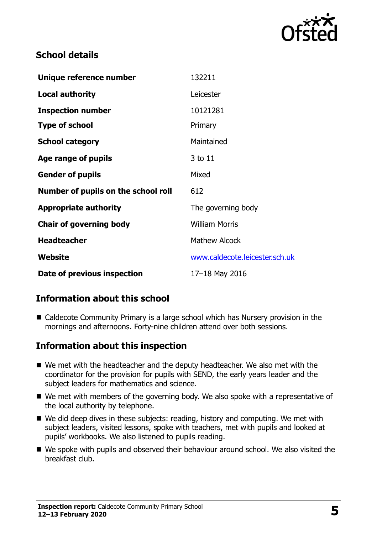

### **School details**

| Unique reference number             | 132211                         |
|-------------------------------------|--------------------------------|
| <b>Local authority</b>              | Leicester                      |
| <b>Inspection number</b>            | 10121281                       |
| <b>Type of school</b>               | Primary                        |
| <b>School category</b>              | Maintained                     |
| Age range of pupils                 | 3 to 11                        |
| <b>Gender of pupils</b>             | Mixed                          |
| Number of pupils on the school roll | 612                            |
| <b>Appropriate authority</b>        | The governing body             |
| <b>Chair of governing body</b>      | <b>William Morris</b>          |
| <b>Headteacher</b>                  | <b>Mathew Alcock</b>           |
| Website                             | www.caldecote.leicester.sch.uk |
| Date of previous inspection         | 17-18 May 2016                 |

# **Information about this school**

■ Caldecote Community Primary is a large school which has Nursery provision in the mornings and afternoons. Forty-nine children attend over both sessions.

#### **Information about this inspection**

- We met with the headteacher and the deputy headteacher. We also met with the coordinator for the provision for pupils with SEND, the early years leader and the subject leaders for mathematics and science.
- We met with members of the governing body. We also spoke with a representative of the local authority by telephone.
- We did deep dives in these subjects: reading, history and computing. We met with subject leaders, visited lessons, spoke with teachers, met with pupils and looked at pupils' workbooks. We also listened to pupils reading.
- We spoke with pupils and observed their behaviour around school. We also visited the breakfast club.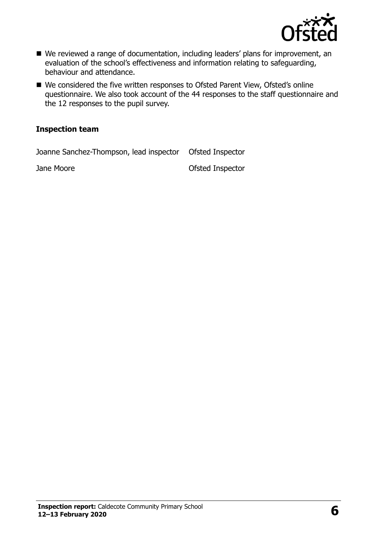

- We reviewed a range of documentation, including leaders' plans for improvement, an evaluation of the school's effectiveness and information relating to safeguarding, behaviour and attendance.
- We considered the five written responses to Ofsted Parent View, Ofsted's online questionnaire. We also took account of the 44 responses to the staff questionnaire and the 12 responses to the pupil survey.

#### **Inspection team**

Joanne Sanchez-Thompson, lead inspector Ofsted Inspector

Jane Moore **Ofsted Inspector**